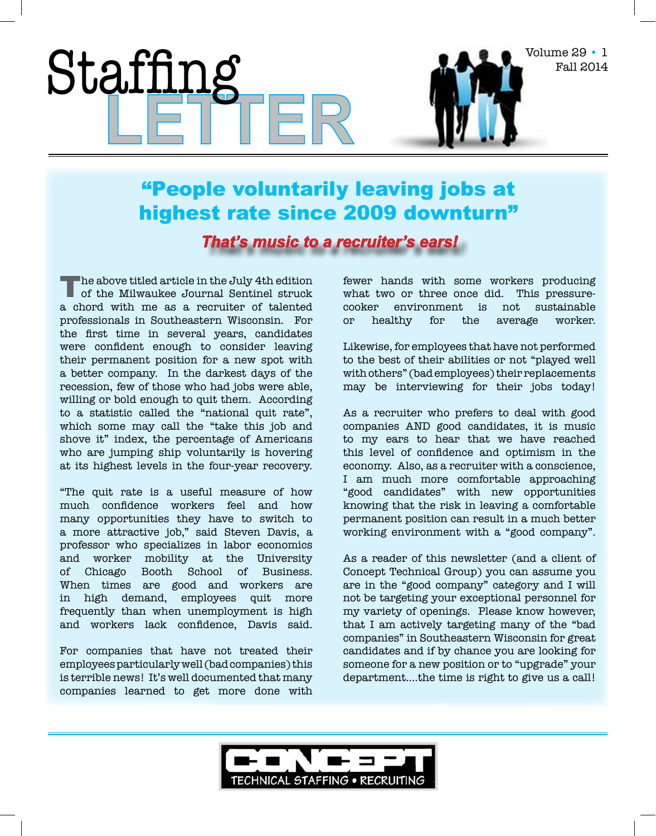## "People voluntarily leaving jobs at highest rate since 2009 downturn"

*That's music to a recruiter's ears!*

The above titled article in the July 4th edition of the Milwaukee Journal Sentinel struck a chord with me as a recruiter of talented professionals in Southeastern Wisconsin. For the first time in several years, candidates were confident enough to consider leaving their permanent position for a new spot with a better company. In the darkest days of the recession, few of those who had jobs were able, willing or bold enough to quit them. According to a statistic called the "national quit rate", which some may call the "take this job and shove it" index, the percentage of Americans who are jumping ship voluntarily is hovering at its highest levels in the four-year recovery.

Stafi

"The quit rate is a useful measure of how much confidence workers feel and how many opportunities they have to switch to a more attractive job," said Steven Davis, a professor who specializes in labor economics and worker mobility at the University of Chicago Booth School of Business. When times are good and workers are in high demand, employees quit more frequently than when unemployment is high and workers lack confidence, Davis said.

For companies that have not treated their employees particularly well (bad companies) this is terrible news! It's well documented that many companies learned to get more done with fewer hands with some workers producing what two or three once did. This pressurecooker environment is not sustainable or healthy for the average worker.

Volume 29 • 1

Fall 2014

Likewise, for employees that have not performed to the best of their abilities or not "played well with others" (bad employees) their replacements may be interviewing for their jobs today!

As a recruiter who prefers to deal with good companies AND good candidates, it is music to my ears to hear that we have reached this level of confidence and optimism in the economy. Also, as a recruiter with a conscience, I am much more comfortable approaching "good candidates" with new opportunities knowing that the risk in leaving a comfortable permanent position can result in a much better working environment with a "good company".

As a reader of this newsletter (and a client of Concept Technical Group) you can assume you are in the "good company" category and I will not be targeting your exceptional personnel for my variety of openings. Please know however, that I am actively targeting many of the "bad companies" in Southeastern Wisconsin for great candidates and if by chance you are looking for someone for a new position or to "upgrade" your department….the time is right to give us a call!